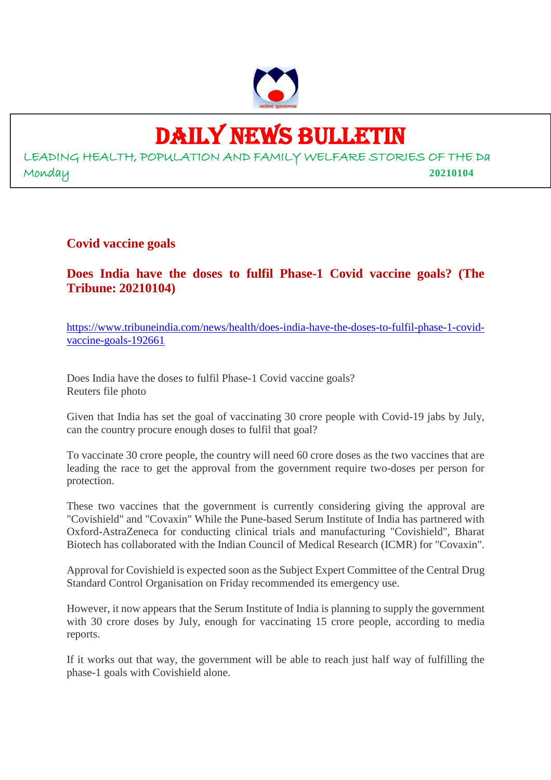

# DAILY NEWS BULLETIN

LEADING HEALTH, POPULATION AND FAMILY WELFARE STORIES OF THE Da Monday **20210104**

**Covid vaccine goals**

**Does India have the doses to fulfil Phase-1 Covid vaccine goals? (The Tribune: 20210104)**

https://www.tribuneindia.com/news/health/does-india-have-the-doses-to-fulfil-phase-1-covidvaccine-goals-192661

Does India have the doses to fulfil Phase-1 Covid vaccine goals? Reuters file photo

Given that India has set the goal of vaccinating 30 crore people with Covid-19 jabs by July, can the country procure enough doses to fulfil that goal?

To vaccinate 30 crore people, the country will need 60 crore doses as the two vaccines that are leading the race to get the approval from the government require two-doses per person for protection.

These two vaccines that the government is currently considering giving the approval are "Covishield" and "Covaxin" While the Pune-based Serum Institute of India has partnered with Oxford-AstraZeneca for conducting clinical trials and manufacturing "Covishield", Bharat Biotech has collaborated with the Indian Council of Medical Research (ICMR) for "Covaxin".

Approval for Covishield is expected soon as the Subject Expert Committee of the Central Drug Standard Control Organisation on Friday recommended its emergency use.

However, it now appears that the Serum Institute of India is planning to supply the government with 30 crore doses by July, enough for vaccinating 15 crore people, according to media reports.

If it works out that way, the government will be able to reach just half way of fulfilling the phase-1 goals with Covishield alone.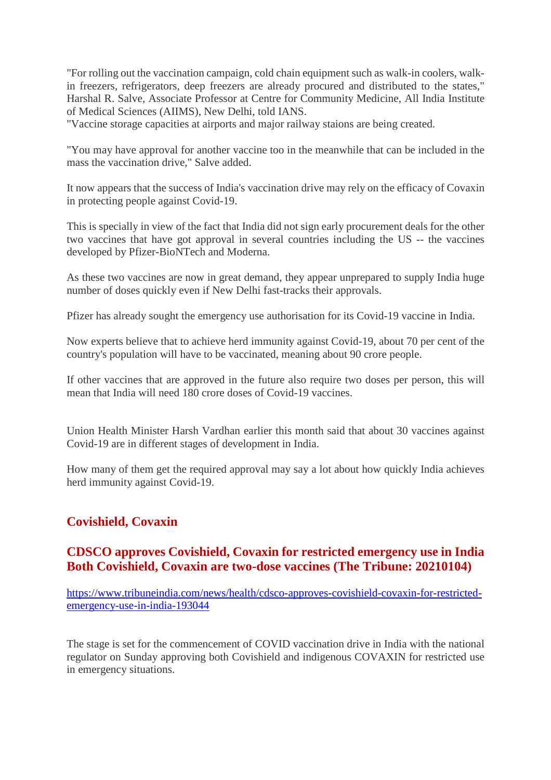"For rolling out the vaccination campaign, cold chain equipment such as walk-in coolers, walkin freezers, refrigerators, deep freezers are already procured and distributed to the states," Harshal R. Salve, Associate Professor at Centre for Community Medicine, All India Institute of Medical Sciences (AIIMS), New Delhi, told IANS.

"Vaccine storage capacities at airports and major railway staions are being created.

"You may have approval for another vaccine too in the meanwhile that can be included in the mass the vaccination drive," Salve added.

It now appears that the success of India's vaccination drive may rely on the efficacy of Covaxin in protecting people against Covid-19.

This is specially in view of the fact that India did not sign early procurement deals for the other two vaccines that have got approval in several countries including the US -- the vaccines developed by Pfizer-BioNTech and Moderna.

As these two vaccines are now in great demand, they appear unprepared to supply India huge number of doses quickly even if New Delhi fast-tracks their approvals.

Pfizer has already sought the emergency use authorisation for its Covid-19 vaccine in India.

Now experts believe that to achieve herd immunity against Covid-19, about 70 per cent of the country's population will have to be vaccinated, meaning about 90 crore people.

If other vaccines that are approved in the future also require two doses per person, this will mean that India will need 180 crore doses of Covid-19 vaccines.

Union Health Minister Harsh Vardhan earlier this month said that about 30 vaccines against Covid-19 are in different stages of development in India.

How many of them get the required approval may say a lot about how quickly India achieves herd immunity against Covid-19.

# **Covishield, Covaxin**

# **CDSCO approves Covishield, Covaxin for restricted emergency use in India Both Covishield, Covaxin are two-dose vaccines (The Tribune: 20210104)**

https://www.tribuneindia.com/news/health/cdsco-approves-covishield-covaxin-for-restrictedemergency-use-in-india-193044

The stage is set for the commencement of COVID vaccination drive in India with the national regulator on Sunday approving both Covishield and indigenous COVAXIN for restricted use in emergency situations.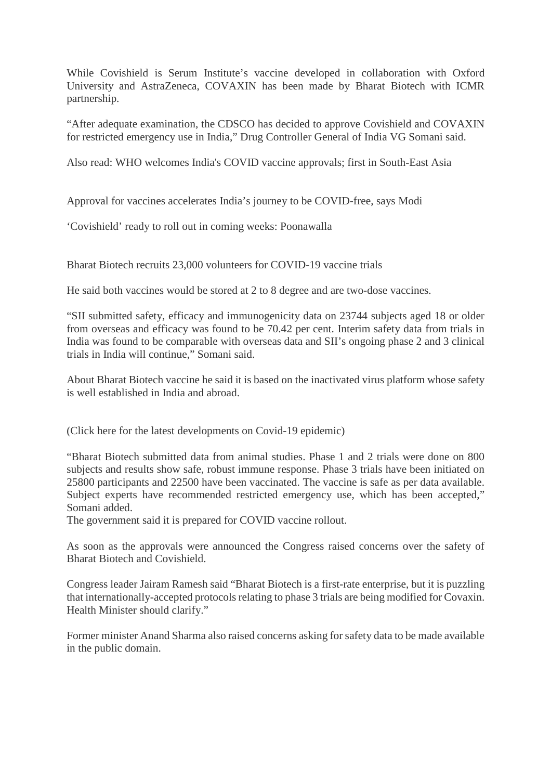While Covishield is Serum Institute's vaccine developed in collaboration with Oxford University and AstraZeneca, COVAXIN has been made by Bharat Biotech with ICMR partnership.

"After adequate examination, the CDSCO has decided to approve Covishield and COVAXIN for restricted emergency use in India," Drug Controller General of India VG Somani said.

Also read: WHO welcomes India's COVID vaccine approvals; first in South-East Asia

Approval for vaccines accelerates India's journey to be COVID-free, says Modi

'Covishield' ready to roll out in coming weeks: Poonawalla

Bharat Biotech recruits 23,000 volunteers for COVID-19 vaccine trials

He said both vaccines would be stored at 2 to 8 degree and are two-dose vaccines.

"SII submitted safety, efficacy and immunogenicity data on 23744 subjects aged 18 or older from overseas and efficacy was found to be 70.42 per cent. Interim safety data from trials in India was found to be comparable with overseas data and SII's ongoing phase 2 and 3 clinical trials in India will continue," Somani said.

About Bharat Biotech vaccine he said it is based on the inactivated virus platform whose safety is well established in India and abroad.

(Click here for the latest developments on Covid-19 epidemic)

"Bharat Biotech submitted data from animal studies. Phase 1 and 2 trials were done on 800 subjects and results show safe, robust immune response. Phase 3 trials have been initiated on 25800 participants and 22500 have been vaccinated. The vaccine is safe as per data available. Subject experts have recommended restricted emergency use, which has been accepted," Somani added.

The government said it is prepared for COVID vaccine rollout.

As soon as the approvals were announced the Congress raised concerns over the safety of Bharat Biotech and Covishield.

Congress leader Jairam Ramesh said "Bharat Biotech is a first-rate enterprise, but it is puzzling that internationally-accepted protocols relating to phase 3 trials are being modified for Covaxin. Health Minister should clarify."

Former minister Anand Sharma also raised concerns asking for safety data to be made available in the public domain.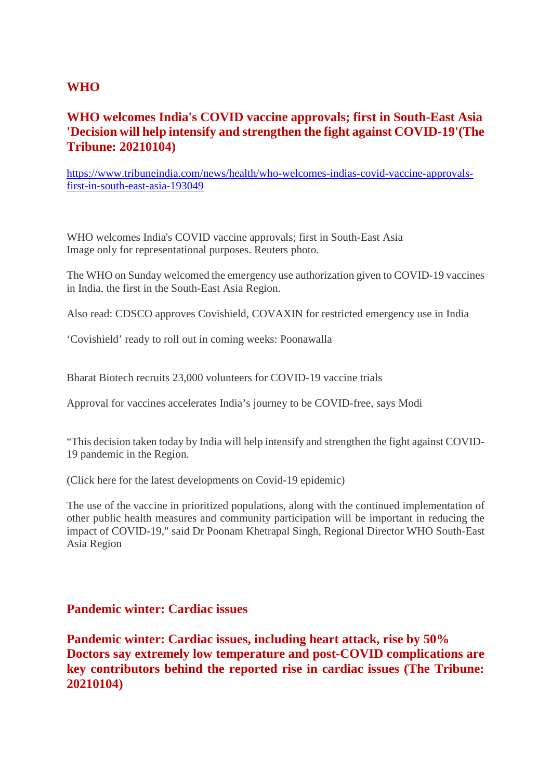# **WHO**

# **WHO welcomes India's COVID vaccine approvals; first in South-East Asia 'Decision will help intensify and strengthen the fight against COVID-19'(The Tribune: 20210104)**

https://www.tribuneindia.com/news/health/who-welcomes-indias-covid-vaccine-approvalsfirst-in-south-east-asia-193049

WHO welcomes India's COVID vaccine approvals; first in South-East Asia Image only for representational purposes. Reuters photo.

The WHO on Sunday welcomed the emergency use authorization given to COVID-19 vaccines in India, the first in the South-East Asia Region.

Also read: CDSCO approves Covishield, COVAXIN for restricted emergency use in India

'Covishield' ready to roll out in coming weeks: Poonawalla

Bharat Biotech recruits 23,000 volunteers for COVID-19 vaccine trials

Approval for vaccines accelerates India's journey to be COVID-free, says Modi

"This decision taken today by India will help intensify and strengthen the fight against COVID-19 pandemic in the Region.

(Click here for the latest developments on Covid-19 epidemic)

The use of the vaccine in prioritized populations, along with the continued implementation of other public health measures and community participation will be important in reducing the impact of COVID-19," said Dr Poonam Khetrapal Singh, Regional Director WHO South-East Asia Region

# **Pandemic winter: Cardiac issues**

**Pandemic winter: Cardiac issues, including heart attack, rise by 50% Doctors say extremely low temperature and post-COVID complications are key contributors behind the reported rise in cardiac issues (The Tribune: 20210104)**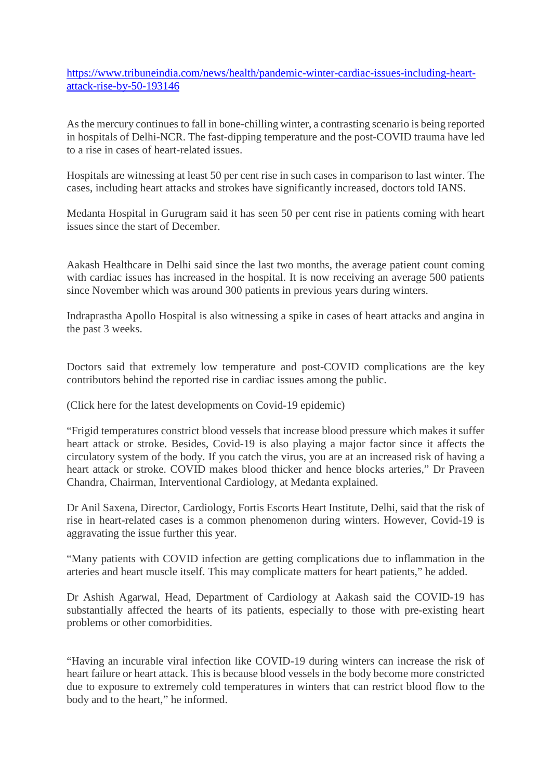https://www.tribuneindia.com/news/health/pandemic-winter-cardiac-issues-including-heartattack-rise-by-50-193146

As the mercury continues to fall in bone-chilling winter, a contrasting scenario is being reported in hospitals of Delhi-NCR. The fast-dipping temperature and the post-COVID trauma have led to a rise in cases of heart-related issues.

Hospitals are witnessing at least 50 per cent rise in such cases in comparison to last winter. The cases, including heart attacks and strokes have significantly increased, doctors told IANS.

Medanta Hospital in Gurugram said it has seen 50 per cent rise in patients coming with heart issues since the start of December.

Aakash Healthcare in Delhi said since the last two months, the average patient count coming with cardiac issues has increased in the hospital. It is now receiving an average 500 patients since November which was around 300 patients in previous years during winters.

Indraprastha Apollo Hospital is also witnessing a spike in cases of heart attacks and angina in the past 3 weeks.

Doctors said that extremely low temperature and post-COVID complications are the key contributors behind the reported rise in cardiac issues among the public.

(Click here for the latest developments on Covid-19 epidemic)

"Frigid temperatures constrict blood vessels that increase blood pressure which makes it suffer heart attack or stroke. Besides, Covid-19 is also playing a major factor since it affects the circulatory system of the body. If you catch the virus, you are at an increased risk of having a heart attack or stroke. COVID makes blood thicker and hence blocks arteries," Dr Praveen Chandra, Chairman, Interventional Cardiology, at Medanta explained.

Dr Anil Saxena, Director, Cardiology, Fortis Escorts Heart Institute, Delhi, said that the risk of rise in heart-related cases is a common phenomenon during winters. However, Covid-19 is aggravating the issue further this year.

"Many patients with COVID infection are getting complications due to inflammation in the arteries and heart muscle itself. This may complicate matters for heart patients," he added.

Dr Ashish Agarwal, Head, Department of Cardiology at Aakash said the COVID-19 has substantially affected the hearts of its patients, especially to those with pre-existing heart problems or other comorbidities.

"Having an incurable viral infection like COVID-19 during winters can increase the risk of heart failure or heart attack. This is because blood vessels in the body become more constricted due to exposure to extremely cold temperatures in winters that can restrict blood flow to the body and to the heart," he informed.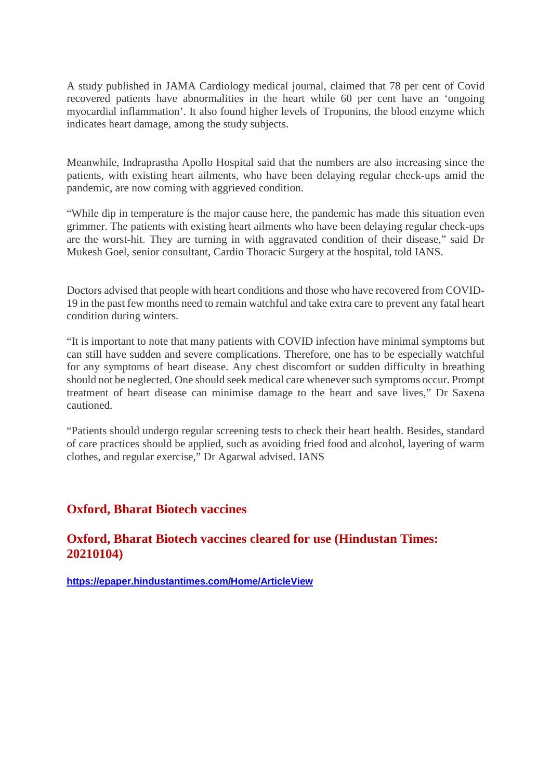A study published in JAMA Cardiology medical journal, claimed that 78 per cent of Covid recovered patients have abnormalities in the heart while 60 per cent have an 'ongoing myocardial inflammation'. It also found higher levels of Troponins, the blood enzyme which indicates heart damage, among the study subjects.

Meanwhile, Indraprastha Apollo Hospital said that the numbers are also increasing since the patients, with existing heart ailments, who have been delaying regular check-ups amid the pandemic, are now coming with aggrieved condition.

"While dip in temperature is the major cause here, the pandemic has made this situation even grimmer. The patients with existing heart ailments who have been delaying regular check-ups are the worst-hit. They are turning in with aggravated condition of their disease," said Dr Mukesh Goel, senior consultant, Cardio Thoracic Surgery at the hospital, told IANS.

Doctors advised that people with heart conditions and those who have recovered from COVID-19 in the past few months need to remain watchful and take extra care to prevent any fatal heart condition during winters.

"It is important to note that many patients with COVID infection have minimal symptoms but can still have sudden and severe complications. Therefore, one has to be especially watchful for any symptoms of heart disease. Any chest discomfort or sudden difficulty in breathing should not be neglected. One should seek medical care whenever such symptoms occur. Prompt treatment of heart disease can minimise damage to the heart and save lives," Dr Saxena cautioned.

"Patients should undergo regular screening tests to check their heart health. Besides, standard of care practices should be applied, such as avoiding fried food and alcohol, layering of warm clothes, and regular exercise," Dr Agarwal advised. IANS

# **Oxford, Bharat Biotech vaccines**

# **Oxford, Bharat Biotech vaccines cleared for use (Hindustan Times: 20210104)**

**https://epaper.hindustantimes.com/Home/ArticleView**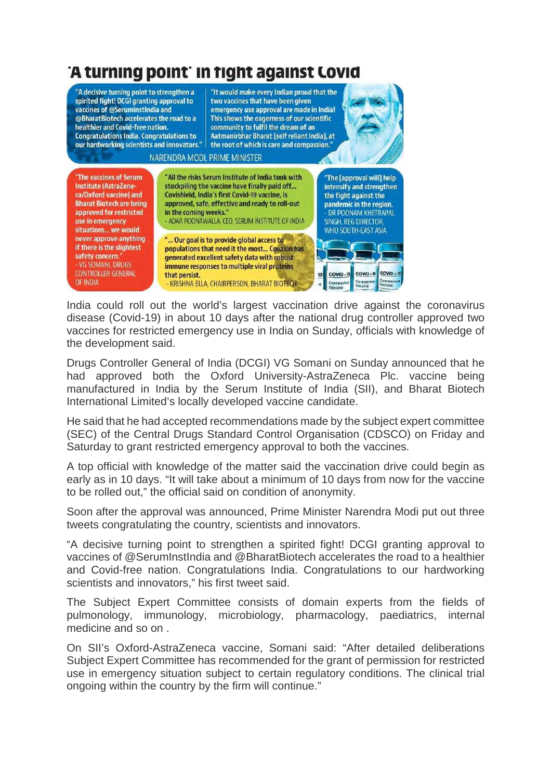

India could roll out the world's largest vaccination drive against the coronavirus disease (Covid-19) in about 10 days after the national drug controller approved two vaccines for restricted emergency use in India on Sunday, officials with knowledge of the development said.

Drugs Controller General of India (DCGI) VG Somani on Sunday announced that he had approved both the Oxford University-AstraZeneca Plc. vaccine being manufactured in India by the Serum Institute of India (SII), and Bharat Biotech International Limited's locally developed vaccine candidate.

He said that he had accepted recommendations made by the subject expert committee (SEC) of the Central Drugs Standard Control Organisation (CDSCO) on Friday and Saturday to grant restricted emergency approval to both the vaccines.

A top official with knowledge of the matter said the vaccination drive could begin as early as in 10 days. "It will take about a minimum of 10 days from now for the vaccine to be rolled out," the official said on condition of anonymity.

Soon after the approval was announced, Prime Minister Narendra Modi put out three tweets congratulating the country, scientists and innovators.

"A decisive turning point to strengthen a spirited fight! DCGI granting approval to vaccines of @SerumInstIndia and @BharatBiotech accelerates the road to a healthier and Covid-free nation. Congratulations India. Congratulations to our hardworking scientists and innovators," his first tweet said.

The Subject Expert Committee consists of domain experts from the fields of pulmonology, immunology, microbiology, pharmacology, paediatrics, internal medicine and so on .

On SII's Oxford-AstraZeneca vaccine, Somani said: "After detailed deliberations Subject Expert Committee has recommended for the grant of permission for restricted use in emergency situation subject to certain regulatory conditions. The clinical trial ongoing within the country by the firm will continue."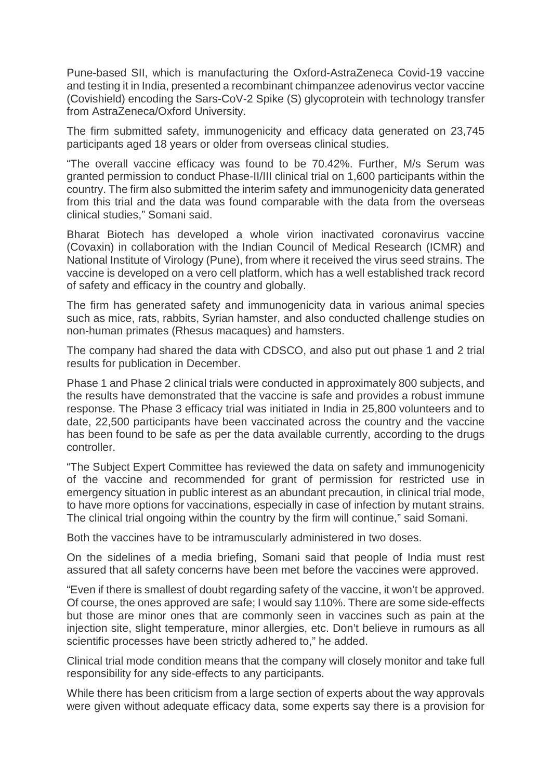Pune-based SII, which is manufacturing the Oxford-AstraZeneca Covid-19 vaccine and testing it in India, presented a recombinant chimpanzee adenovirus vector vaccine (Covishield) encoding the Sars-CoV-2 Spike (S) glycoprotein with technology transfer from AstraZeneca/Oxford University.

The firm submitted safety, immunogenicity and efficacy data generated on 23,745 participants aged 18 years or older from overseas clinical studies.

"The overall vaccine efficacy was found to be 70.42%. Further, M/s Serum was granted permission to conduct Phase-II/III clinical trial on 1,600 participants within the country. The firm also submitted the interim safety and immunogenicity data generated from this trial and the data was found comparable with the data from the overseas clinical studies," Somani said.

Bharat Biotech has developed a whole virion inactivated coronavirus vaccine (Covaxin) in collaboration with the Indian Council of Medical Research (ICMR) and National Institute of Virology (Pune), from where it received the virus seed strains. The vaccine is developed on a vero cell platform, which has a well established track record of safety and efficacy in the country and globally.

The firm has generated safety and immunogenicity data in various animal species such as mice, rats, rabbits, Syrian hamster, and also conducted challenge studies on non-human primates (Rhesus macaques) and hamsters.

The company had shared the data with CDSCO, and also put out phase 1 and 2 trial results for publication in December.

Phase 1 and Phase 2 clinical trials were conducted in approximately 800 subjects, and the results have demonstrated that the vaccine is safe and provides a robust immune response. The Phase 3 efficacy trial was initiated in India in 25,800 volunteers and to date, 22,500 participants have been vaccinated across the country and the vaccine has been found to be safe as per the data available currently, according to the drugs controller.

"The Subject Expert Committee has reviewed the data on safety and immunogenicity of the vaccine and recommended for grant of permission for restricted use in emergency situation in public interest as an abundant precaution, in clinical trial mode, to have more options for vaccinations, especially in case of infection by mutant strains. The clinical trial ongoing within the country by the firm will continue," said Somani.

Both the vaccines have to be intramuscularly administered in two doses.

On the sidelines of a media briefing, Somani said that people of India must rest assured that all safety concerns have been met before the vaccines were approved.

"Even if there is smallest of doubt regarding safety of the vaccine, it won't be approved. Of course, the ones approved are safe; I would say 110%. There are some side-effects but those are minor ones that are commonly seen in vaccines such as pain at the injection site, slight temperature, minor allergies, etc. Don't believe in rumours as all scientific processes have been strictly adhered to," he added.

Clinical trial mode condition means that the company will closely monitor and take full responsibility for any side-effects to any participants.

While there has been criticism from a large section of experts about the way approvals were given without adequate efficacy data, some experts say there is a provision for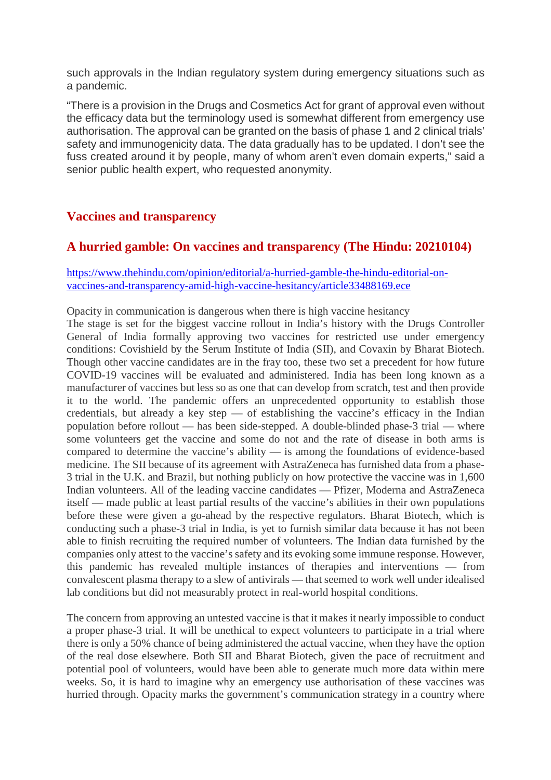such approvals in the Indian regulatory system during emergency situations such as a pandemic.

"There is a provision in the Drugs and Cosmetics Act for grant of approval even without the efficacy data but the terminology used is somewhat different from emergency use authorisation. The approval can be granted on the basis of phase 1 and 2 clinical trials' safety and immunogenicity data. The data gradually has to be updated. I don't see the fuss created around it by people, many of whom aren't even domain experts," said a senior public health expert, who requested anonymity.

# **Vaccines and transparency**

# **A hurried gamble: On vaccines and transparency (The Hindu: 20210104)**

#### https://www.thehindu.com/opinion/editorial/a-hurried-gamble-the-hindu-editorial-onvaccines-and-transparency-amid-high-vaccine-hesitancy/article33488169.ece

Opacity in communication is dangerous when there is high vaccine hesitancy

The stage is set for the biggest vaccine rollout in India's history with the Drugs Controller General of India formally approving two vaccines for restricted use under emergency conditions: Covishield by the Serum Institute of India (SII), and Covaxin by Bharat Biotech. Though other vaccine candidates are in the fray too, these two set a precedent for how future COVID-19 vaccines will be evaluated and administered. India has been long known as a manufacturer of vaccines but less so as one that can develop from scratch, test and then provide it to the world. The pandemic offers an unprecedented opportunity to establish those credentials, but already a key step  $-$  of establishing the vaccine's efficacy in the Indian population before rollout — has been side-stepped. A double-blinded phase-3 trial — where some volunteers get the vaccine and some do not and the rate of disease in both arms is compared to determine the vaccine's ability — is among the foundations of evidence-based medicine. The SII because of its agreement with AstraZeneca has furnished data from a phase-3 trial in the U.K. and Brazil, but nothing publicly on how protective the vaccine was in 1,600 Indian volunteers. All of the leading vaccine candidates — Pfizer, Moderna and AstraZeneca itself — made public at least partial results of the vaccine's abilities in their own populations before these were given a go-ahead by the respective regulators. Bharat Biotech, which is conducting such a phase-3 trial in India, is yet to furnish similar data because it has not been able to finish recruiting the required number of volunteers. The Indian data furnished by the companies only attest to the vaccine's safety and its evoking some immune response. However, this pandemic has revealed multiple instances of therapies and interventions — from convalescent plasma therapy to a slew of antivirals — that seemed to work well under idealised lab conditions but did not measurably protect in real-world hospital conditions.

The concern from approving an untested vaccine is that it makes it nearly impossible to conduct a proper phase-3 trial. It will be unethical to expect volunteers to participate in a trial where there is only a 50% chance of being administered the actual vaccine, when they have the option of the real dose elsewhere. Both SII and Bharat Biotech, given the pace of recruitment and potential pool of volunteers, would have been able to generate much more data within mere weeks. So, it is hard to imagine why an emergency use authorisation of these vaccines was hurried through. Opacity marks the government's communication strategy in a country where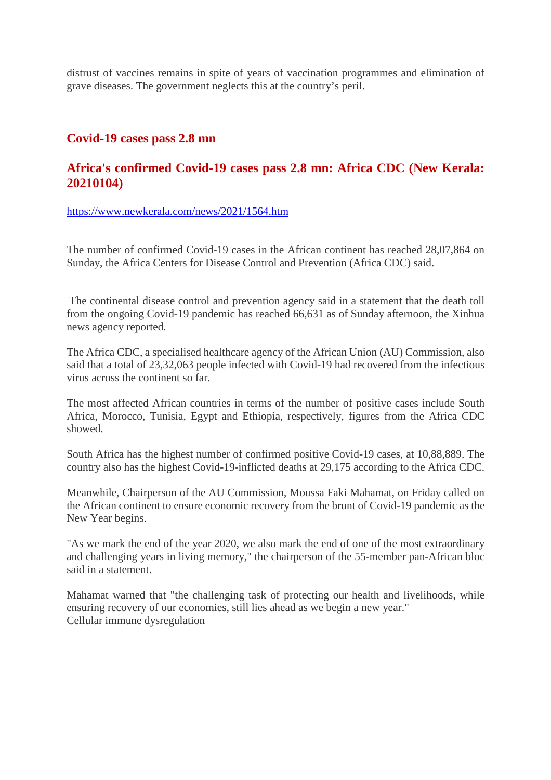distrust of vaccines remains in spite of years of vaccination programmes and elimination of grave diseases. The government neglects this at the country's peril.

### **Covid-19 cases pass 2.8 mn**

# **Africa's confirmed Covid-19 cases pass 2.8 mn: Africa CDC (New Kerala: 20210104)**

https://www.newkerala.com/news/2021/1564.htm

The number of confirmed Covid-19 cases in the African continent has reached 28,07,864 on Sunday, the Africa Centers for Disease Control and Prevention (Africa CDC) said.

The continental disease control and prevention agency said in a statement that the death toll from the ongoing Covid-19 pandemic has reached 66,631 as of Sunday afternoon, the Xinhua news agency reported.

The Africa CDC, a specialised healthcare agency of the African Union (AU) Commission, also said that a total of 23,32,063 people infected with Covid-19 had recovered from the infectious virus across the continent so far.

The most affected African countries in terms of the number of positive cases include South Africa, Morocco, Tunisia, Egypt and Ethiopia, respectively, figures from the Africa CDC showed.

South Africa has the highest number of confirmed positive Covid-19 cases, at 10,88,889. The country also has the highest Covid-19-inflicted deaths at 29,175 according to the Africa CDC.

Meanwhile, Chairperson of the AU Commission, Moussa Faki Mahamat, on Friday called on the African continent to ensure economic recovery from the brunt of Covid-19 pandemic as the New Year begins.

"As we mark the end of the year 2020, we also mark the end of one of the most extraordinary and challenging years in living memory," the chairperson of the 55-member pan-African bloc said in a statement.

Mahamat warned that "the challenging task of protecting our health and livelihoods, while ensuring recovery of our economies, still lies ahead as we begin a new year." Cellular immune dysregulation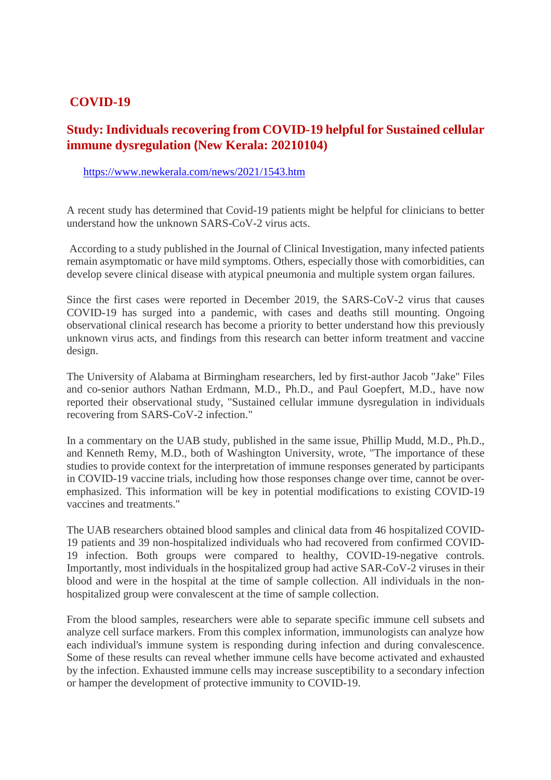# **COVID-19**

# **Study: Individuals recovering from COVID-19 helpful for Sustained cellular immune dysregulation (New Kerala: 20210104)**

#### https://www.newkerala.com/news/2021/1543.htm

A recent study has determined that Covid-19 patients might be helpful for clinicians to better understand how the unknown SARS-CoV-2 virus acts.

According to a study published in the Journal of Clinical Investigation, many infected patients remain asymptomatic or have mild symptoms. Others, especially those with comorbidities, can develop severe clinical disease with atypical pneumonia and multiple system organ failures.

Since the first cases were reported in December 2019, the SARS-CoV-2 virus that causes COVID-19 has surged into a pandemic, with cases and deaths still mounting. Ongoing observational clinical research has become a priority to better understand how this previously unknown virus acts, and findings from this research can better inform treatment and vaccine design.

The University of Alabama at Birmingham researchers, led by first-author Jacob "Jake" Files and co-senior authors Nathan Erdmann, M.D., Ph.D., and Paul Goepfert, M.D., have now reported their observational study, "Sustained cellular immune dysregulation in individuals recovering from SARS-CoV-2 infection."

In a commentary on the UAB study, published in the same issue, Phillip Mudd, M.D., Ph.D., and Kenneth Remy, M.D., both of Washington University, wrote, "The importance of these studies to provide context for the interpretation of immune responses generated by participants in COVID-19 vaccine trials, including how those responses change over time, cannot be overemphasized. This information will be key in potential modifications to existing COVID-19 vaccines and treatments."

The UAB researchers obtained blood samples and clinical data from 46 hospitalized COVID-19 patients and 39 non-hospitalized individuals who had recovered from confirmed COVID-19 infection. Both groups were compared to healthy, COVID-19-negative controls. Importantly, most individuals in the hospitalized group had active SAR-CoV-2 viruses in their blood and were in the hospital at the time of sample collection. All individuals in the nonhospitalized group were convalescent at the time of sample collection.

From the blood samples, researchers were able to separate specific immune cell subsets and analyze cell surface markers. From this complex information, immunologists can analyze how each individual's immune system is responding during infection and during convalescence. Some of these results can reveal whether immune cells have become activated and exhausted by the infection. Exhausted immune cells may increase susceptibility to a secondary infection or hamper the development of protective immunity to COVID-19.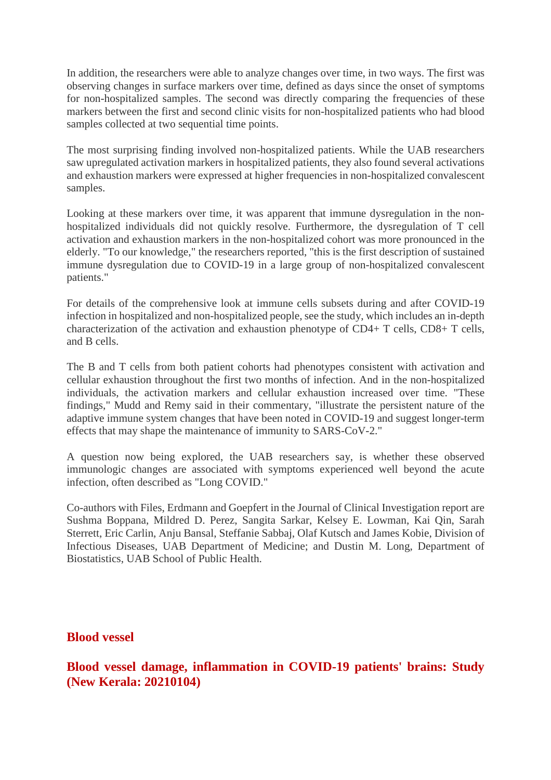In addition, the researchers were able to analyze changes over time, in two ways. The first was observing changes in surface markers over time, defined as days since the onset of symptoms for non-hospitalized samples. The second was directly comparing the frequencies of these markers between the first and second clinic visits for non-hospitalized patients who had blood samples collected at two sequential time points.

The most surprising finding involved non-hospitalized patients. While the UAB researchers saw upregulated activation markers in hospitalized patients, they also found several activations and exhaustion markers were expressed at higher frequencies in non-hospitalized convalescent samples.

Looking at these markers over time, it was apparent that immune dysregulation in the nonhospitalized individuals did not quickly resolve. Furthermore, the dysregulation of T cell activation and exhaustion markers in the non-hospitalized cohort was more pronounced in the elderly. "To our knowledge," the researchers reported, "this is the first description of sustained immune dysregulation due to COVID-19 in a large group of non-hospitalized convalescent patients."

For details of the comprehensive look at immune cells subsets during and after COVID-19 infection in hospitalized and non-hospitalized people, see the study, which includes an in-depth characterization of the activation and exhaustion phenotype of CD4+ T cells, CD8+ T cells, and B cells.

The B and T cells from both patient cohorts had phenotypes consistent with activation and cellular exhaustion throughout the first two months of infection. And in the non-hospitalized individuals, the activation markers and cellular exhaustion increased over time. "These findings," Mudd and Remy said in their commentary, "illustrate the persistent nature of the adaptive immune system changes that have been noted in COVID-19 and suggest longer-term effects that may shape the maintenance of immunity to SARS-CoV-2."

A question now being explored, the UAB researchers say, is whether these observed immunologic changes are associated with symptoms experienced well beyond the acute infection, often described as "Long COVID."

Co-authors with Files, Erdmann and Goepfert in the Journal of Clinical Investigation report are Sushma Boppana, Mildred D. Perez, Sangita Sarkar, Kelsey E. Lowman, Kai Qin, Sarah Sterrett, Eric Carlin, Anju Bansal, Steffanie Sabbaj, Olaf Kutsch and James Kobie, Division of Infectious Diseases, UAB Department of Medicine; and Dustin M. Long, Department of Biostatistics, UAB School of Public Health.

**Blood vessel**

**Blood vessel damage, inflammation in COVID-19 patients' brains: Study (New Kerala: 20210104)**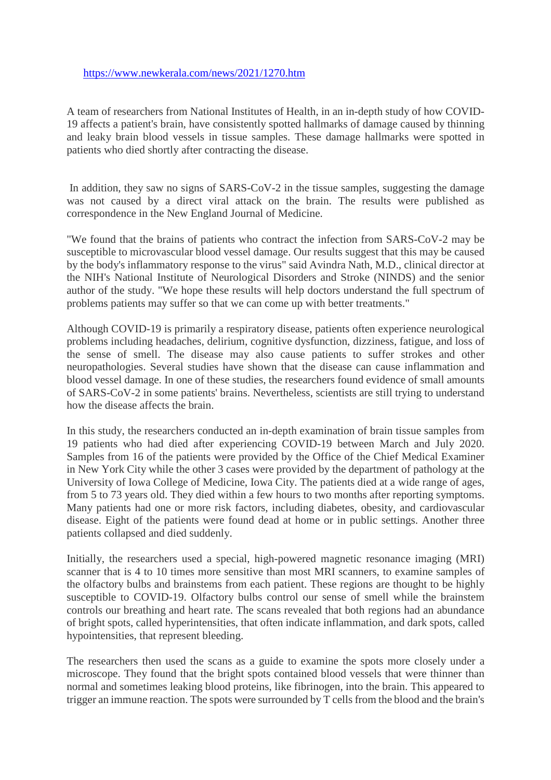#### https://www.newkerala.com/news/2021/1270.htm

A team of researchers from National Institutes of Health, in an in-depth study of how COVID-19 affects a patient's brain, have consistently spotted hallmarks of damage caused by thinning and leaky brain blood vessels in tissue samples. These damage hallmarks were spotted in patients who died shortly after contracting the disease.

In addition, they saw no signs of SARS-CoV-2 in the tissue samples, suggesting the damage was not caused by a direct viral attack on the brain. The results were published as correspondence in the New England Journal of Medicine.

"We found that the brains of patients who contract the infection from SARS-CoV-2 may be susceptible to microvascular blood vessel damage. Our results suggest that this may be caused by the body's inflammatory response to the virus" said Avindra Nath, M.D., clinical director at the NIH's National Institute of Neurological Disorders and Stroke (NINDS) and the senior author of the study. "We hope these results will help doctors understand the full spectrum of problems patients may suffer so that we can come up with better treatments."

Although COVID-19 is primarily a respiratory disease, patients often experience neurological problems including headaches, delirium, cognitive dysfunction, dizziness, fatigue, and loss of the sense of smell. The disease may also cause patients to suffer strokes and other neuropathologies. Several studies have shown that the disease can cause inflammation and blood vessel damage. In one of these studies, the researchers found evidence of small amounts of SARS-CoV-2 in some patients' brains. Nevertheless, scientists are still trying to understand how the disease affects the brain.

In this study, the researchers conducted an in-depth examination of brain tissue samples from 19 patients who had died after experiencing COVID-19 between March and July 2020. Samples from 16 of the patients were provided by the Office of the Chief Medical Examiner in New York City while the other 3 cases were provided by the department of pathology at the University of Iowa College of Medicine, Iowa City. The patients died at a wide range of ages, from 5 to 73 years old. They died within a few hours to two months after reporting symptoms. Many patients had one or more risk factors, including diabetes, obesity, and cardiovascular disease. Eight of the patients were found dead at home or in public settings. Another three patients collapsed and died suddenly.

Initially, the researchers used a special, high-powered magnetic resonance imaging (MRI) scanner that is 4 to 10 times more sensitive than most MRI scanners, to examine samples of the olfactory bulbs and brainstems from each patient. These regions are thought to be highly susceptible to COVID-19. Olfactory bulbs control our sense of smell while the brainstem controls our breathing and heart rate. The scans revealed that both regions had an abundance of bright spots, called hyperintensities, that often indicate inflammation, and dark spots, called hypointensities, that represent bleeding.

The researchers then used the scans as a guide to examine the spots more closely under a microscope. They found that the bright spots contained blood vessels that were thinner than normal and sometimes leaking blood proteins, like fibrinogen, into the brain. This appeared to trigger an immune reaction. The spots were surrounded by T cells from the blood and the brain's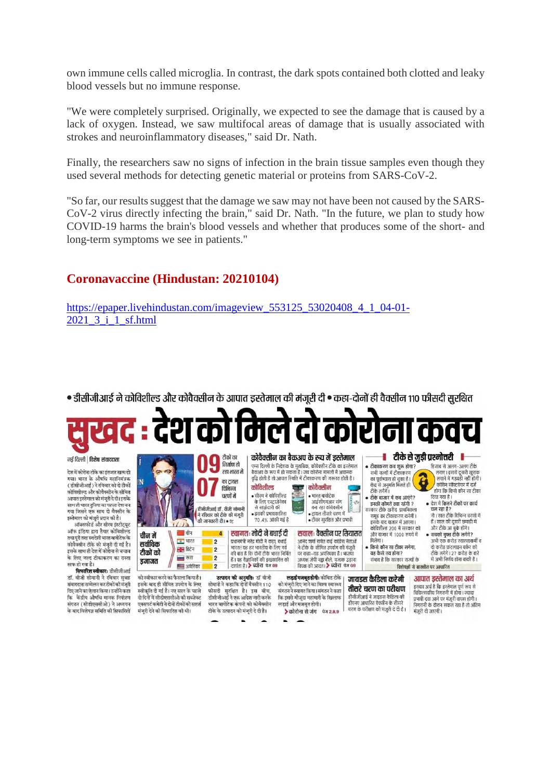own immune cells called microglia. In contrast, the dark spots contained both clotted and leaky blood vessels but no immune response.

"We were completely surprised. Originally, we expected to see the damage that is caused by a lack of oxygen. Instead, we saw multifocal areas of damage that is usually associated with strokes and neuroinflammatory diseases," said Dr. Nath.

Finally, the researchers saw no signs of infection in the brain tissue samples even though they used several methods for detecting genetic material or proteins from SARS-CoV-2.

"So far, our results suggest that the damage we saw may not have been not caused by the SARS-CoV-2 virus directly infecting the brain," said Dr. Nath. "In the future, we plan to study how COVID-19 harms the brain's blood vessels and whether that produces some of the short- and long-term symptoms we see in patients."

# **Coronavaccine (Hindustan: 20210104)**

एक्सपर्ट कमेटी ने दोनों टीकों को सशत

https://epaper.livehindustan.com/imageview\_553125\_53020408\_4\_1\_04-01- 2021\_3\_i\_1\_sf.html

• डीसीजीआई ने कोविशील्ड और कोवैक्सीन के आपात इस्तेमाल की मंजुरी दी • कहा-दोनों ही वैक्सीन ११० फीसदी सुरक्षित

देश को मिले दो कोरोना कवच

नई दिल्ली | विशेष संवाददाता

.<br>देश में कोरोना टीके का इंतजार खत्म हो .<br>गया। भारत के औषधि महानियंत्रव ( बीमीजीआई ) ने मंतिवार को दो दीको कोविशील्ड और कोवैक्सीन के सीमित आपात इस्तेमाल को मंजरी दे दी। इसके जानात ३९तनात मन न्यून व वा ३९१%<br>साथ ही भारत दुनिया का पहला देश बन<br>गया जिसने एक साथ दो वैक्सीन के इस्तेमाल को मंजूरी प्रदान की है।

्<br>ऑक्सफोर्ड और सीरम डंस्टीटयट ऑफ इंडिया द्वारा तैयार कोविशील्ड तथा पूरी तरह स्वदेशी भारत बायोटेक के<br>कोवैक्सीन टीके को मंजरी दी गई है। इसके साथ ही देश में कोरोना से बचाव के लिए जल्द टीकाकरण का रास्त का लाए जल्द ट<br>साफ हो गया है।

**मिफारिज स्वीकार:** दीमीजीआरं डॉ. वीजी सोमानी ने रविवार सुबह .<br>संवाददाता सम्मेलन कर टीकों की मंजरी दिए जाने का ऐलान किया। उन्होंने कहा कि केंद्रीय औषधि मानक नियंत्रण संगठन (सीडीएससीओ) ने अध्ययन के बाद विशेषज्ञ समिति की सिफारिशों – मंजूरी देने को सिफारिश की थी।

| IN                                       |                                                                    | निर्माण हो<br>रहा भारत में<br>का ट्रायल<br>विभिन्न<br>चरणों में<br>डीसीजीआई डॉ. वीजी सोमानी<br>ने रविवार को टीके की मंजूरी<br>की जानकारी दी। • प्रंट | कोविशील्ड<br>• सीरम ने कोविशील्ड<br>के लिए एस्टाजेनेका<br>से साझेदारी की<br>• इसकी प्रभावकारिता<br>70 .4% आंकी गई है                                                                                               | एम्स दिल्ली के निदेशक के मुताबिक, कोवैक्सीन टीके का इस्तेमाल<br>बैकअप के रूप में हो सकता है। जब कोरोना मामलों में अचानक<br>वृद्धि होती है तो आपात स्थिति में टीकाकरण की जरूरत होती है।<br>कोवैक्सीन<br>Œ<br>• भारत बायोटेक<br>आईसीएमआर संग<br>$\frac{1}{2}$ with<br>$\sim$<br>बना रहा कोवैक्सीन<br>$0.6$ and<br>$\mathbf{B}$<br>• टायल तीसरे चरण में<br>$\sim$<br>• टीका सुरक्षित और प्रभावी | टीके से जुड़ी प्रश्नोत्तरी<br>• टीकाकरण कब शुरू होगा?<br>हिसाब से अलग-अलग टीके<br>लगाए। इससे दूसरी खुराक<br>सभी राज्यों में टीकाकरण<br>लगाने में गडबडी नहीं होगी।<br>का पूर्वाभ्यास हो चुका है। ।<br>कोविन सॉफ्टवेयर में दर्ज<br>केंद्र से अनुमति मिलते ही<br>टीके लगेंगें।<br>होगा कि किसे कौन सा टीका<br>दिया गया है।<br>• टीके बाजार में कब आएंगे?<br>• देश में कितने टीकों पर कार्य<br>इनकी कीमतें क्या रहेंगी ?<br>चल रहा है?<br>सरकार टीके खरीद प्राथमिकता<br>नौ। सात टीके विभिन्न चरणों में<br>समह का टीकाकरण करेगी।<br>हैं। साल की दूसरी छमाही में<br>इसके बाद बाजार में आएगा।<br>और टीके आ चुके होंगे।<br>कोविशील्ड 200 में सरकार को |
|------------------------------------------|--------------------------------------------------------------------|------------------------------------------------------------------------------------------------------------------------------------------------------|--------------------------------------------------------------------------------------------------------------------------------------------------------------------------------------------------------------------|----------------------------------------------------------------------------------------------------------------------------------------------------------------------------------------------------------------------------------------------------------------------------------------------------------------------------------------------------------------------------------------------|-----------------------------------------------------------------------------------------------------------------------------------------------------------------------------------------------------------------------------------------------------------------------------------------------------------------------------------------------------------------------------------------------------------------------------------------------------------------------------------------------------------------------------------------------------------------------------------------------------------------------------------------------|
| चीन में<br>सर्वाधिक<br>टीकों को<br>डजाजत | चीन<br><u>-</u> भारत<br>नाम ब्रिटेन<br>$\overline{m}$<br>■ अमेरिका | 4<br>$\overline{2}$<br>$\overline{2}$<br>$\overline{2}$<br>$\overline{2}$                                                                            | स्वागतः मोदी ने बधाई दी<br>प्रधानमंत्री नरेंद्र मोदी ने कहा, बधाई<br>भारत! यह हर भारतीय के लिए गर्व<br>की बात है कि दोनों टीके भारत निर्मित<br>हैं। यह वैज्ञानिकों की इच्छाशक्ति को<br>दर्शाता है। > ब्योरा पेज 09 | सवालः वैक्सीन पर सियासत<br>आनंद शर्मा समेत कई कांग्रेस नेताओं<br>ने टीके के सीमित उपयोग की मंजूरी<br>पर कहा-यह अपरिपक्व है। भाजपा<br>अध्यक्ष जेपी नड्डा बोले, मृजाक उड़ाना<br>विपक्ष की आदत। > ब्योरा  पेज ०९                                                                                                                                                                                | और बाजार में 1000 रुपये में<br>• सबको मुफ्त टीके लगेंगे?<br>मिलेगा।<br>अभी एक करोड स्वास्थ्यकर्मी व<br>• किसे कौन सा टीका लगेगा.<br>दो करोड फ्रंटलाइन वर्कर को<br>यह कैसे तय होगा?<br>टीके लगेंगे। 27 करोड के बारे<br>में अभी निर्णय होना बाकी है।<br>संभाव है कि सरकार राज्यों के<br>विशेषज्ञों से बातचीत पर आधारित                                                                                                                                                                                                                                                                                                                          |

लडाई और मजबत होगी।

भारत बायोटेक कंपनी को कोवैक्सीन

टीके के उत्पादन को मंजूरी दे दी है।

प्रभावी दवा आने पर मंजूरी वापस होगी। क इसस माजूदा महाभाग का अल्लाणजाक भगोऽकर प्रकरण करण मानवी दवा आने पर मजूरी वापस होगी ।<br>इझई और मजबूत होगी। संस्था के दौरानए आधारित वैवसीन के तीसरे में प्रकाशी के दौरान सफल रहा है तो अंतिम<br>- <mark>≱कोरोना से जंग फ्ल 2,8,9</mark> सरण क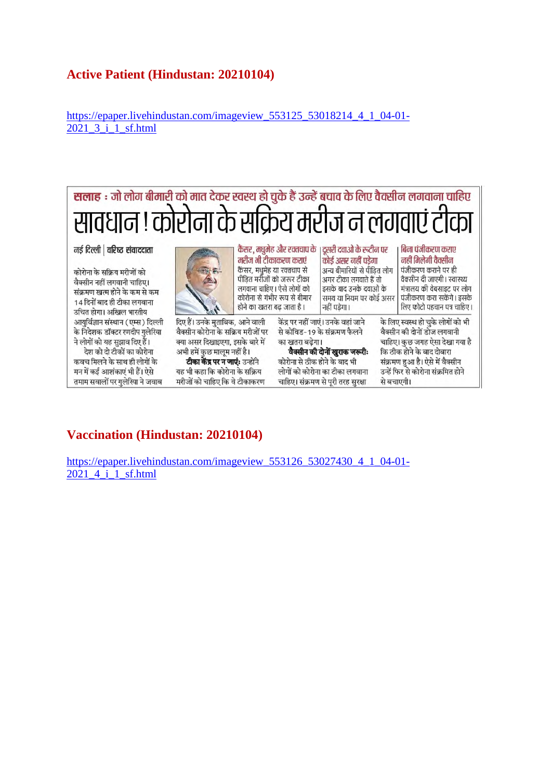# **Active Patient (Hindustan: 20210104)**

https://epaper.livehindustan.com/imageview\_553125\_53018214\_4\_1\_04-01- 2021\_3\_i\_1\_sf.html



# **Vaccination (Hindustan: 20210104)**

https://epaper.livehindustan.com/imageview\_553126\_53027430\_4\_1\_04-01- 2021 4 i 1 sf.html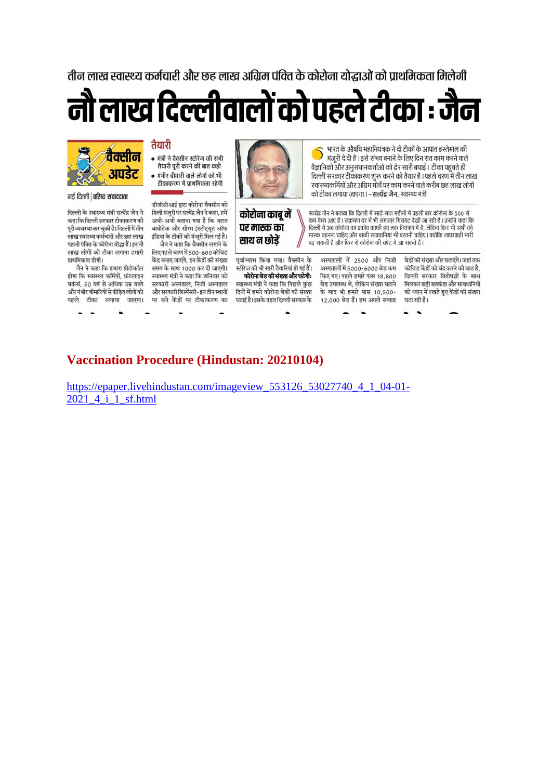तीन लाख स्वास्थ्य कर्मचारी और छह लाख अग्रिम पंक्ति के कोरोना योद्भाओं को पाथमिकता मिलेगी





#### नई दिल्ली | वरिष्ट संवाददाता

दिल्ली के स्वास्थ्य मंत्री सत्येंद्र जैन ने कहा कि दिल्ली सरकार टीकाकरण की पूरी व्यवस्था कर चुकी है। दिल्ली में तीन लाख स्वास्थ्य कर्मचारी और छह लाख पहली पंक्ति के कोरोना वोद्धा हैं। इन नौ लाख लोगों को टीका लगाना हमारी प्राथमिकता होगी।

जैन ने कहा कि हमारा प्रोटोकॉल होगा कि स्वास्थ्य कर्मियों, फ्रंटलाइन वर्कर्स, 50 वर्ष से अधिक उम्र वाले और गंभीर बीमारिवों से पीडित लोगों को पहले टीका लगाया जाएगा।



तैयारी पूरी करने की बात कही

• गंभीर बीमारी वाले लोगों को भी

लिए पहले चरण में 500-600 कोविड .<br>केंद्र बनाए जाएंगे, इन केंद्रों की संख्या समय के साथ 1000 कर दी जाएगी। स्वास्थ्य मंत्री ने कहा कि शनिवार को सरकारी अस्पताल, निजी अस्पताल और सरकारी डिस्पेंसरी- इन तीन स्थानों पर बने केंद्रों पर टीकाकरण का



कोरोना काबू में पर मास्क का साथ न छोडें

पूर्वाभ्यास किया गया। वैक्सीन के ्<br>स्टोरेज की भी सारी तैयारियां हो गई हैं। कोरोना बेड की संख्या और घटेगी: स्वास्थ्य मंत्री ने कहा कि पिछले कुछ दिनों में हमने कोरोना बेडों की संख्या घटाई है। इसके तहत दिल्ली सरकार के

-

भारत के औषधि महानियंत्रक ने दो टीकों के आपात इस्तेमाल की D मंजूरी दे दी है । इसे संभव बनाने के लिए दिन रात काम करने वाले वैज्ञानिकों और अनुसंधानकर्ताओं को ढेर सारी बधाई । टीका पहुंचते ही दिल्ली सरकार टीकाकरण शुरू करने को तैयार है । पहले चरण में तीन लाख स्वास्थ्यकर्मियों और अग्रिम मोर्चे पर काम करने वाले करीब छह लाख लोगों को टीका लगाया जाएगा । – सत्येंद्र जैन, स्वास्थ्य मंत्री

सत्येंद्र जैन ने बताया कि दिल्ली में साढ़े सात महीनों में पहली बार कोरोना के 500 से कम केस आए हैं। संक्रमण दर में भी लगातार गिरावट देखी जा रही है। उन्होंने कहा कि दिल्ली में अब कोरोना का प्रकोप काफी हद तक नियंत्रण में है. लेकिन फिर भी सभी को मास्क पहनना चाहिए और बाकी सावधानियां भी बरतनी चाहिए। क्योंकि लापरवाही भारी पड़ सकती है और फिर से कोरोना की चपेट में आ सकते हैं ।

अस्पतालों में 2500 और निजी अस्पतालों में 5000-6000 बेड कम किए गए। पहले हमारे पास 18,800 बेड उपलब्ध थे, लेकिन संख्या घटाने के बाद भी हमारे पास 10.500-12,000 बेड हैं। हम अगले सप्ताह

बेडों की संख्या और घटाएंगे। जहां तक कोविड केंद्रों को बंद करने की बात है, दिल्ली सरकार विशेषज्ञों के साथ मिलकर बड़ी सतर्कता और सावधानियों को ध्यान में रखते हुए केंद्रों की संख्या घटा रही है।

 $\blacksquare$ 

# **Vaccination Procedure (Hindustan: 20210104)**

https://epaper.livehindustan.com/imageview 553126 53027740 4 1 04-01-2021 4 i 1 sf.html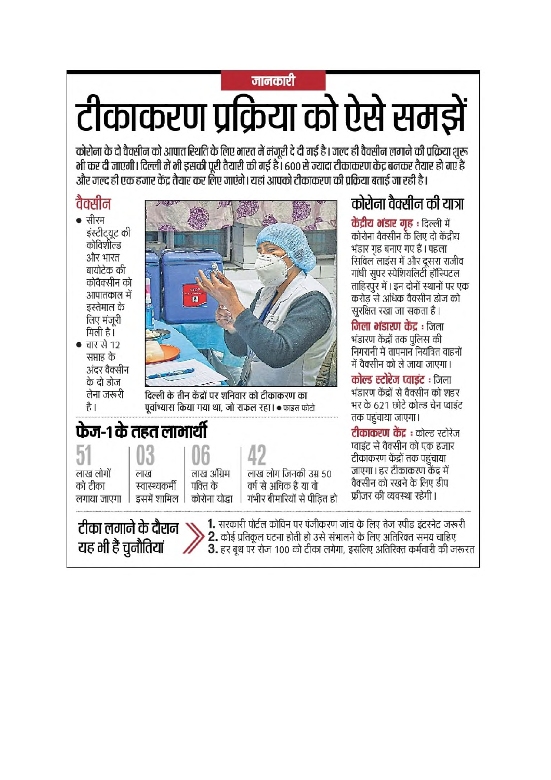# जानकारी टीकाकरण प्रक्रिया को ऐसे समझें

कोरोना के दो वैक्सीन को आपात स्थिति के लिए भारत में मंजूरी दे दी गई है। जल्द ही वैक्सीन लगाने की प्रक्रिया शुरू मी कर दी जाएगी। दिल्ली में भी इसकी पूरी तैयारी की गई है। 600 से ज्यादा टीकाकरण केंद्र बनकर तैयार हो गए हैं और जल्द ही एक हजार केंद्र तैयार कर लिए जाएंगे। यहां आपको टीकाकरण की प्रक्रिया बताई जा रही है।

# वैक्सीन

- सीरम इंस्टीट्यूट की<br>कोविशील्ड और भारत बायोटेक की कोवैक्सीन को आपातकाल में इस्तेमाल के लिए मंजूरी मिली है।
- चार से 12 सप्ताह के अंदर वैक्सीन के दो डोज लेना जरूरी है।



दिल्ली के तीन केंद्रों पर शनिवार को टीकाकरण का पूर्वाभ्यास किया गया था, जो सफल रहा। • फाइल फोटो

# फेज-१ के तहत लाभार्थी

टीका लगाने के दौरान N

यह भी हैं चुनौतियां

51 लाख लोगों को टीका लगाया जाएगा

)3 लाख स्वास्थ्यकर्मी इसमें शामिल |

लाख अंग्रिम पक्ति के

लाख लोग जिनकी उम्र 50 वर्ष से अधिक है या वो

कोरोना योद्धा

गंभीर बीमारियों से पीडित हो

1. सरकारी पोर्टल कोविन पर पंजीकरण जांच के लिए तेज स्पीड इंटरनेट जरूरी 2. कोई प्रतिकूल घटना होती हो उसे संभालने के लिए अतिरिक्त समय चाहिए

3. हर बूथ पर रोज 100 को टीका लगेगा, इसलिए अतिरिक्त कर्मचारी की जरूरत

कोरोना वैक्सीन की यात्रा

केंद्रीय मंडार गह : दिल्ली में

कोरोना वैक्सीन के लिए दो केंद्रीय भंडार गृह बनाए गए हैं। पहला

सिविल लाइंस में और दूसरा राजीव

गांधी सुपर स्पेशियलिटी हॉस्पिटल

करोड़ से अधिक वैक्सीन डोज को

निगरानी में तापमान नियंत्रित वाहनों

में वैक्सीन को ले जाया जाएगा।

**कोल्ड स्टोरेज प्वाइंट** : जिला

तक पहुंचाया जाएगा।

भंडारण केंद्रों से वैक्सीन को शहर

भर के 621 छोटे कोल्ड चेन प्वाइंट

**टीकाकरण केंद्र** : कोल्ड स्टोरेज प्वाइंट से वैक्सीन को एक हजार

टीकाकरण केंद्रों तक पहुंचाया जाएगा। हर टीकाकरण केंद्र में

वैक्सीन को रखने के लिए डीप

फ्रीजर की व्यवस्था रहेगी।

सूरक्षित रखा जा सकता है।

**जिला भंडारण केंद्र** : जिला

भंडारण केंद्रों तक पुलिस की

ताहिरपुर में। इन दोनों स्थानों पर एक